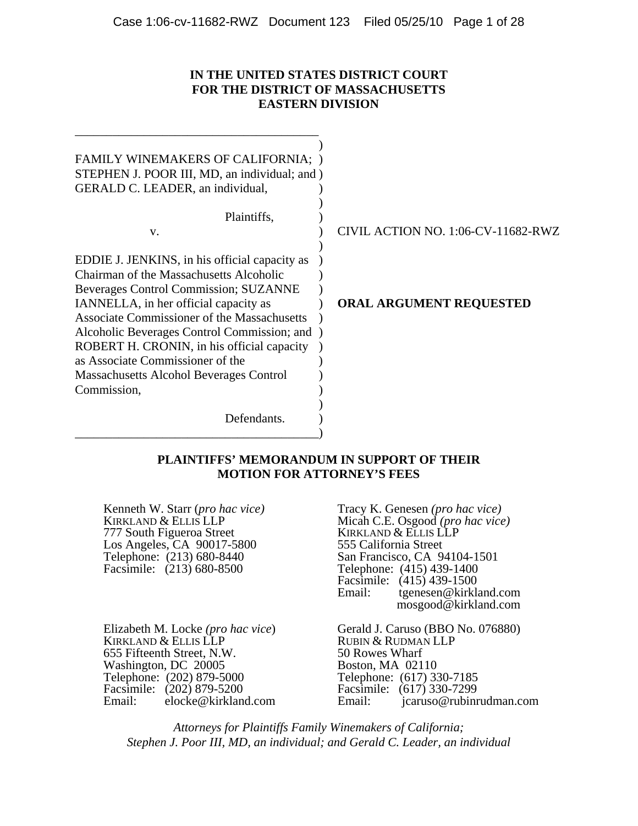### **IN THE UNITED STATES DISTRICT COURT FOR THE DISTRICT OF MASSACHUSETTS EASTERN DIVISION**

| FAMILY WINEMAKERS OF CALIFORNIA;<br>STEPHEN J. POOR III, MD, an individual; and )<br>GERALD C. LEADER, an individual, |                                    |
|-----------------------------------------------------------------------------------------------------------------------|------------------------------------|
| Plaintiffs,                                                                                                           |                                    |
| V.                                                                                                                    | CIVIL ACTION NO. 1:06-CV-11682-RWZ |
|                                                                                                                       |                                    |
| EDDIE J. JENKINS, in his official capacity as                                                                         |                                    |
| Chairman of the Massachusetts Alcoholic                                                                               |                                    |
| Beverages Control Commission; SUZANNE                                                                                 |                                    |
| IANNELLA, in her official capacity as                                                                                 | <b>ORAL ARGUMENT REQUESTED</b>     |
| Associate Commissioner of the Massachusetts                                                                           |                                    |
| Alcoholic Beverages Control Commission; and                                                                           |                                    |
| ROBERT H. CRONIN, in his official capacity                                                                            |                                    |
| as Associate Commissioner of the                                                                                      |                                    |
| Massachusetts Alcohol Beverages Control                                                                               |                                    |
| Commission,                                                                                                           |                                    |
|                                                                                                                       |                                    |
| Defendants.                                                                                                           |                                    |
|                                                                                                                       |                                    |

### **PLAINTIFFS' MEMORANDUM IN SUPPORT OF THEIR MOTION FOR ATTORNEY'S FEES**

777 South Figueroa Street KIRKLAND & ELLIS L<br>
Los Angeles, CA 90017-5800 555 California Street Los Angeles, CA 90017-5800<br>
Telephone: (213) 680-8440<br>
San Francisco, CA 94104-1501 Telephone: (213) 680-8440<br>Facsimile: (213) 680-8500

\_\_\_\_\_\_\_\_\_\_\_\_\_\_\_\_\_\_\_\_\_\_\_\_\_\_\_\_\_\_\_\_\_\_\_\_\_\_\_

Kenneth W. Starr (*pro hac vice)* Tracy K. Genesen *(pro hac vice)*  KIRKLAND & ELLIS LLP<br>
777 South Figueroa Street<br>
KIRKLAND & ELLIS LLP Telephone:  $(415)$  439-1400 Facsimile: (415) 439-1500<br>Email: tgenesen@kirkl: tgenesen@kirkland.com mosgood@kirkland.com

KIRKLAND & ELLIS LLP<br>
655 Fifteenth Street. N.W.<br>
50 Rowes Wharf 655 Fifteenth Street, N.W. 50 Rowes Wharf<br>Washington, DC 20005 Boston, MA 02110 Washington, DC 20005 Boston, MA 02110 Telephone: (202) 879-5000 Telephone: (617) 330-7185 Telephone: (202) 879-5000<br>
Facsimile: (202) 879-5200<br>
Email: elocke@kirkland.com Email: elocke@kirkland.com Email: elocke@kirkland.com Email: elocke@rubinr

Elizabeth M. Locke (*pro hac vice*) **Carles** Gerald J. Caruso (BBO No. 076880) jcaruso@rubinrudman.com

*Attorneys for Plaintiffs Family Winemakers of California; Stephen J. Poor III, MD, an individual; and Gerald C. Leader, an individual*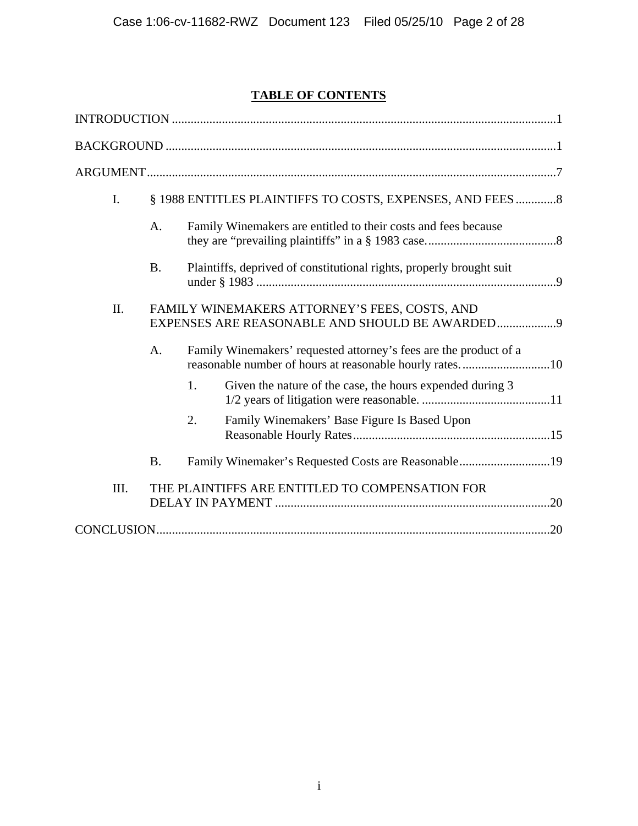# **TABLE OF CONTENTS**

| $\mathbf{I}$ . |                                               | § 1988 ENTITLES PLAINTIFFS TO COSTS, EXPENSES, AND FEES  8                                                                   |  |
|----------------|-----------------------------------------------|------------------------------------------------------------------------------------------------------------------------------|--|
|                | A.                                            | Family Winemakers are entitled to their costs and fees because                                                               |  |
|                | <b>B.</b>                                     | Plaintiffs, deprived of constitutional rights, properly brought suit                                                         |  |
| II.            | FAMILY WINEMAKERS ATTORNEY'S FEES, COSTS, AND |                                                                                                                              |  |
|                | A.                                            | Family Winemakers' requested attorney's fees are the product of a<br>reasonable number of hours at reasonable hourly rates10 |  |
|                |                                               | Given the nature of the case, the hours expended during 3<br>1.                                                              |  |
|                |                                               | Family Winemakers' Base Figure Is Based Upon<br>2.                                                                           |  |
|                | <b>B.</b>                                     | Family Winemaker's Requested Costs are Reasonable19                                                                          |  |
| III.           |                                               | THE PLAINTIFFS ARE ENTITLED TO COMPENSATION FOR                                                                              |  |
|                |                                               |                                                                                                                              |  |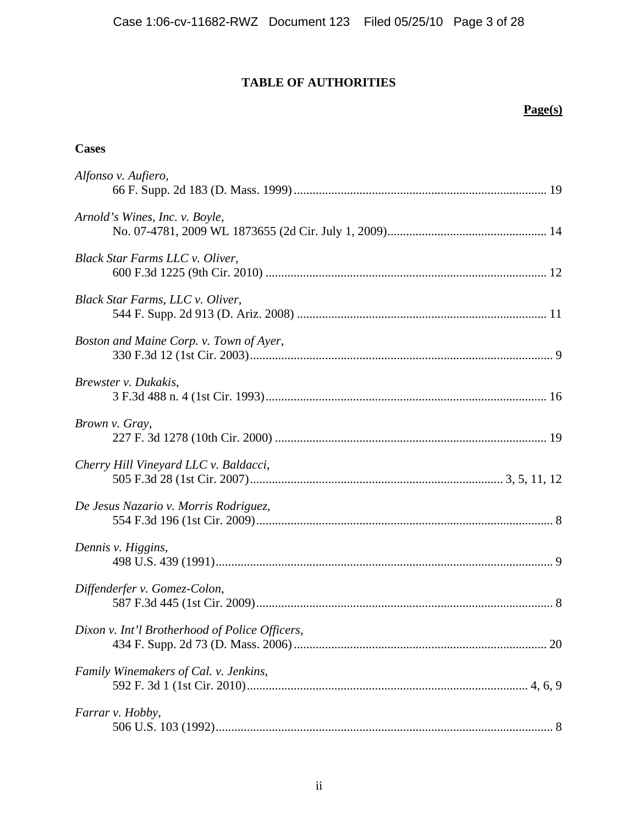## **TABLE OF AUTHORITIES**

## **Page(s)**

### **Cases**

| Alfonso v. Aufiero,                            |
|------------------------------------------------|
| Arnold's Wines, Inc. v. Boyle,                 |
| Black Star Farms LLC v. Oliver,                |
| Black Star Farms, LLC v. Oliver,               |
| Boston and Maine Corp. v. Town of Ayer,        |
| Brewster v. Dukakis,                           |
| Brown v. Gray,                                 |
| Cherry Hill Vineyard LLC v. Baldacci,          |
| De Jesus Nazario v. Morris Rodriguez,          |
| Dennis v. Higgins,                             |
| Diffenderfer v. Gomez-Colon,                   |
| Dixon v. Int'l Brotherhood of Police Officers, |
| Family Winemakers of Cal. v. Jenkins,          |
| Farrar v. Hobby,                               |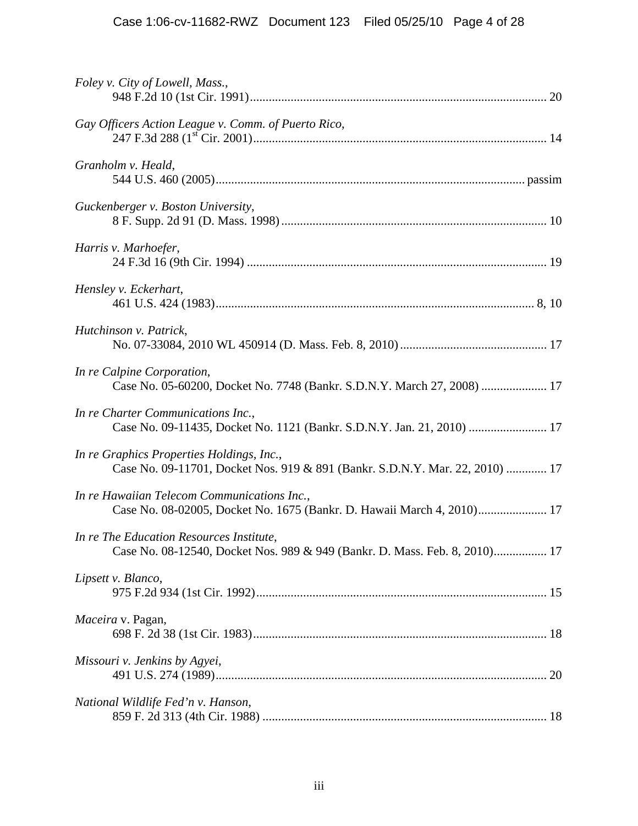| Foley v. City of Lowell, Mass.,                                                                                           |
|---------------------------------------------------------------------------------------------------------------------------|
| Gay Officers Action League v. Comm. of Puerto Rico,                                                                       |
| Granholm v. Heald,                                                                                                        |
| Guckenberger v. Boston University,                                                                                        |
| Harris v. Marhoefer,                                                                                                      |
| Hensley v. Eckerhart,                                                                                                     |
| Hutchinson v. Patrick,                                                                                                    |
| In re Calpine Corporation,<br>Case No. 05-60200, Docket No. 7748 (Bankr. S.D.N.Y. March 27, 2008)  17                     |
| In re Charter Communications Inc.,<br>Case No. 09-11435, Docket No. 1121 (Bankr. S.D.N.Y. Jan. 21, 2010)  17              |
| In re Graphics Properties Holdings, Inc.,<br>Case No. 09-11701, Docket Nos. 919 & 891 (Bankr. S.D.N.Y. Mar. 22, 2010)  17 |
| In re Hawaiian Telecom Communications Inc.,<br>Case No. 08-02005, Docket No. 1675 (Bankr. D. Hawaii March 4, 2010) 17     |
| In re The Education Resources Institute,<br>Case No. 08-12540, Docket Nos. 989 & 949 (Bankr. D. Mass. Feb. 8, 2010) 17    |
| Lipsett v. Blanco,                                                                                                        |
| Maceira v. Pagan,                                                                                                         |
| Missouri v. Jenkins by Agyei,                                                                                             |
| National Wildlife Fed'n v. Hanson,                                                                                        |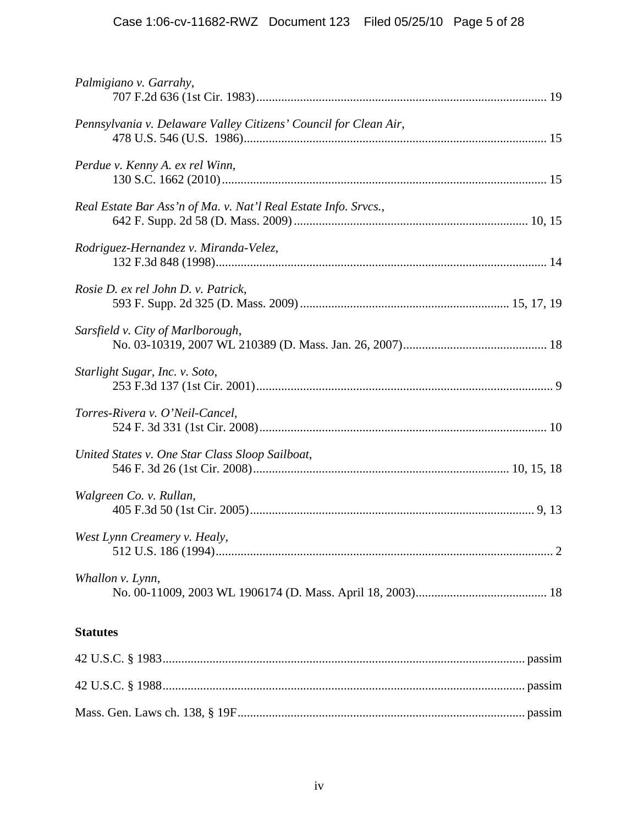| Palmigiano v. Garrahy,                                           |  |
|------------------------------------------------------------------|--|
| Pennsylvania v. Delaware Valley Citizens' Council for Clean Air, |  |
| Perdue v. Kenny A. ex rel Winn,                                  |  |
| Real Estate Bar Ass'n of Ma. v. Nat'l Real Estate Info. Srvcs.,  |  |
| Rodriguez-Hernandez v. Miranda-Velez,                            |  |
| Rosie D. ex rel John D. v. Patrick,                              |  |
| Sarsfield v. City of Marlborough,                                |  |
| Starlight Sugar, Inc. v. Soto,                                   |  |
| Torres-Rivera v. O'Neil-Cancel,                                  |  |
| United States v. One Star Class Sloop Sailboat,                  |  |
| Walgreen Co. v. Rullan,                                          |  |
| West Lynn Creamery v. Healy,                                     |  |
| Whallon v. Lynn,                                                 |  |
| <b>Statutes</b>                                                  |  |
|                                                                  |  |
|                                                                  |  |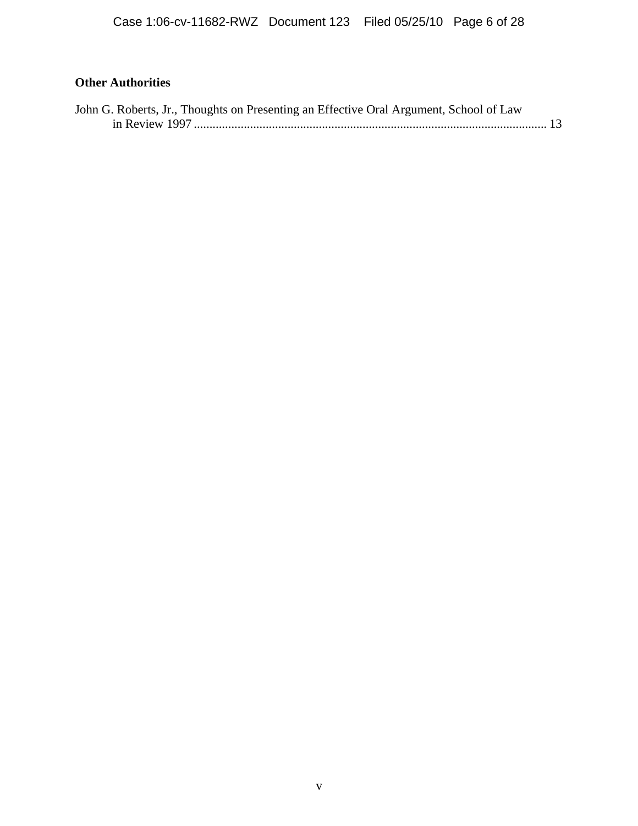## **Other Authorities**

| John G. Roberts, Jr., Thoughts on Presenting an Effective Oral Argument, School of Law |  |
|----------------------------------------------------------------------------------------|--|
|                                                                                        |  |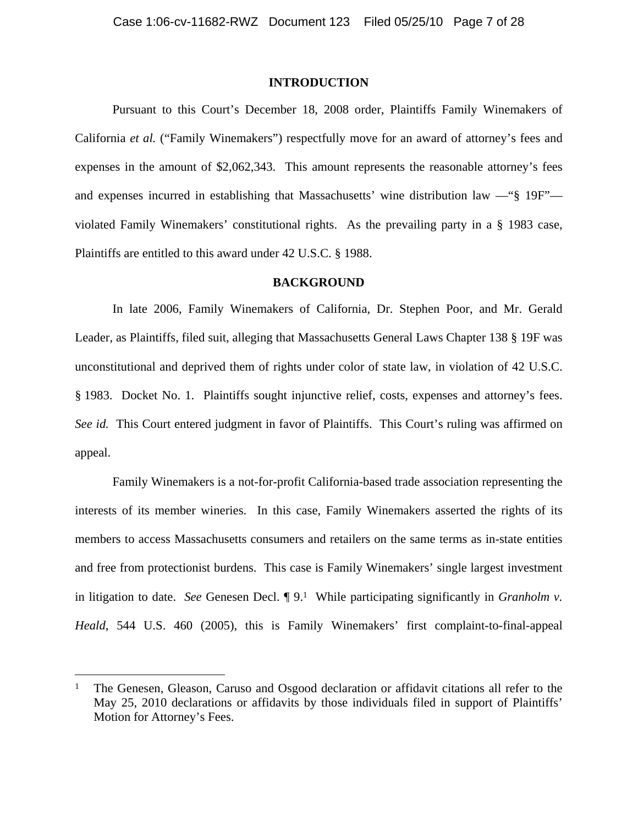### **INTRODUCTION**

Pursuant to this Court's December 18, 2008 order, Plaintiffs Family Winemakers of California *et al.* ("Family Winemakers") respectfully move for an award of attorney's fees and expenses in the amount of \$2,062,343. This amount represents the reasonable attorney's fees and expenses incurred in establishing that Massachusetts' wine distribution law —"§ 19F" violated Family Winemakers' constitutional rights. As the prevailing party in a § 1983 case, Plaintiffs are entitled to this award under 42 U.S.C. § 1988.

### **BACKGROUND**

In late 2006, Family Winemakers of California, Dr. Stephen Poor, and Mr. Gerald Leader, as Plaintiffs, filed suit, alleging that Massachusetts General Laws Chapter 138 § 19F was unconstitutional and deprived them of rights under color of state law, in violation of 42 U.S.C. § 1983. Docket No. 1. Plaintiffs sought injunctive relief, costs, expenses and attorney's fees. *See id.* This Court entered judgment in favor of Plaintiffs. This Court's ruling was affirmed on appeal.

Family Winemakers is a not-for-profit California-based trade association representing the interests of its member wineries. In this case, Family Winemakers asserted the rights of its members to access Massachusetts consumers and retailers on the same terms as in-state entities and free from protectionist burdens. This case is Family Winemakers' single largest investment in litigation to date. *See* Genesen Decl. ¶ 9.1 While participating significantly in *Granholm v. Heald*, 544 U.S. 460 (2005), this is Family Winemakers' first complaint-to-final-appeal

1

<sup>&</sup>lt;sup>1</sup> The Genesen, Gleason, Caruso and Osgood declaration or affidavit citations all refer to the May 25, 2010 declarations or affidavits by those individuals filed in support of Plaintiffs' Motion for Attorney's Fees.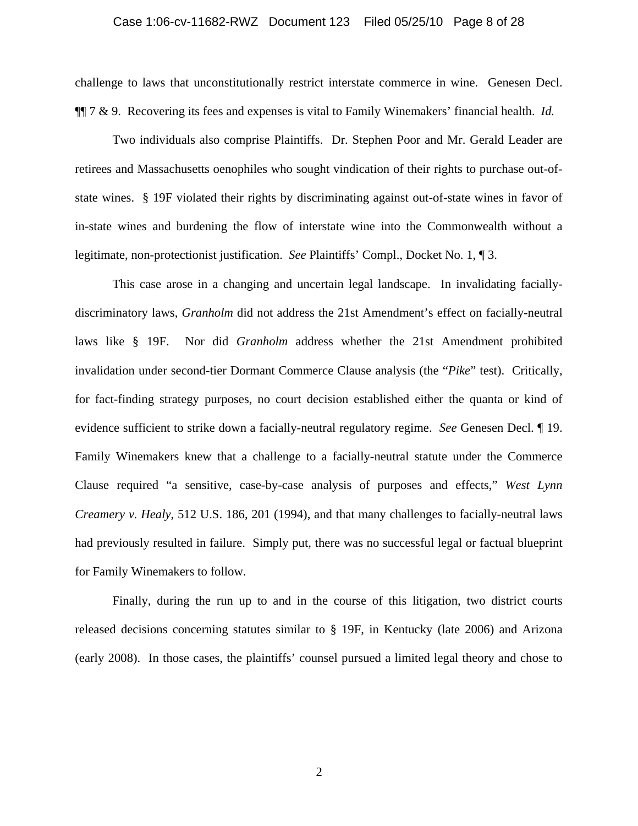#### Case 1:06-cv-11682-RWZ Document 123 Filed 05/25/10 Page 8 of 28

challenge to laws that unconstitutionally restrict interstate commerce in wine. Genesen Decl. ¶¶ 7 & 9. Recovering its fees and expenses is vital to Family Winemakers' financial health. *Id.* 

Two individuals also comprise Plaintiffs. Dr. Stephen Poor and Mr. Gerald Leader are retirees and Massachusetts oenophiles who sought vindication of their rights to purchase out-ofstate wines. § 19F violated their rights by discriminating against out-of-state wines in favor of in-state wines and burdening the flow of interstate wine into the Commonwealth without a legitimate, non-protectionist justification. *See* Plaintiffs' Compl., Docket No. 1, ¶ 3.

This case arose in a changing and uncertain legal landscape. In invalidating faciallydiscriminatory laws, *Granholm* did not address the 21st Amendment's effect on facially-neutral laws like § 19F. Nor did *Granholm* address whether the 21st Amendment prohibited invalidation under second-tier Dormant Commerce Clause analysis (the "*Pike*" test). Critically, for fact-finding strategy purposes, no court decision established either the quanta or kind of evidence sufficient to strike down a facially-neutral regulatory regime. *See* Genesen Decl. ¶ 19. Family Winemakers knew that a challenge to a facially-neutral statute under the Commerce Clause required "a sensitive, case-by-case analysis of purposes and effects," *West Lynn Creamery v. Healy*, 512 U.S. 186, 201 (1994), and that many challenges to facially-neutral laws had previously resulted in failure. Simply put, there was no successful legal or factual blueprint for Family Winemakers to follow.

Finally, during the run up to and in the course of this litigation, two district courts released decisions concerning statutes similar to § 19F, in Kentucky (late 2006) and Arizona (early 2008). In those cases, the plaintiffs' counsel pursued a limited legal theory and chose to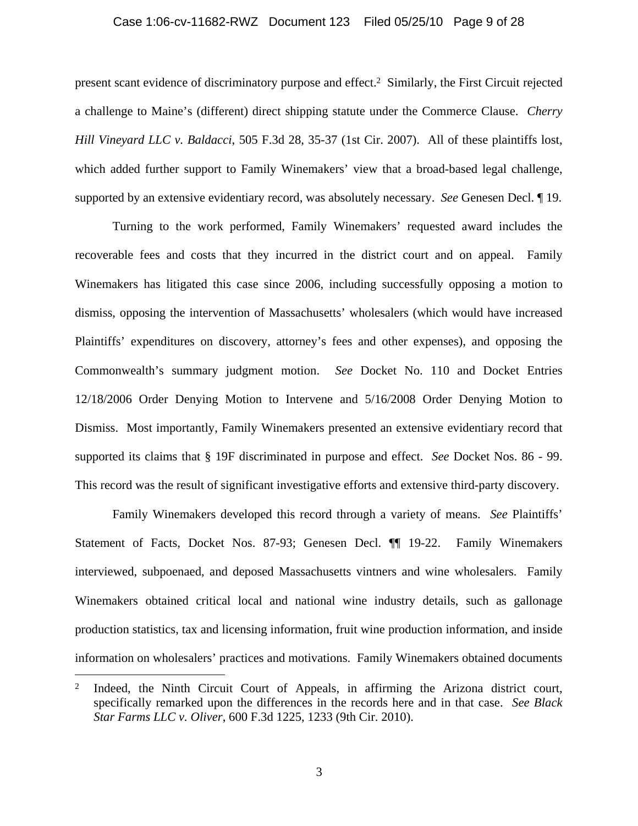#### Case 1:06-cv-11682-RWZ Document 123 Filed 05/25/10 Page 9 of 28

present scant evidence of discriminatory purpose and effect.2 Similarly, the First Circuit rejected a challenge to Maine's (different) direct shipping statute under the Commerce Clause. *Cherry Hill Vineyard LLC v. Baldacci*, 505 F.3d 28, 35-37 (1st Cir. 2007). All of these plaintiffs lost, which added further support to Family Winemakers' view that a broad-based legal challenge, supported by an extensive evidentiary record, was absolutely necessary. *See* Genesen Decl. ¶ 19.

Turning to the work performed, Family Winemakers' requested award includes the recoverable fees and costs that they incurred in the district court and on appeal. Family Winemakers has litigated this case since 2006, including successfully opposing a motion to dismiss, opposing the intervention of Massachusetts' wholesalers (which would have increased Plaintiffs' expenditures on discovery, attorney's fees and other expenses), and opposing the Commonwealth's summary judgment motion. *See* Docket No. 110 and Docket Entries 12/18/2006 Order Denying Motion to Intervene and 5/16/2008 Order Denying Motion to Dismiss. Most importantly, Family Winemakers presented an extensive evidentiary record that supported its claims that § 19F discriminated in purpose and effect. *See* Docket Nos. 86 - 99. This record was the result of significant investigative efforts and extensive third-party discovery.

Family Winemakers developed this record through a variety of means. *See* Plaintiffs' Statement of Facts, Docket Nos. 87-93; Genesen Decl. ¶¶ 19-22. Family Winemakers interviewed, subpoenaed, and deposed Massachusetts vintners and wine wholesalers. Family Winemakers obtained critical local and national wine industry details, such as gallonage production statistics, tax and licensing information, fruit wine production information, and inside information on wholesalers' practices and motivations. Family Winemakers obtained documents

 $\overline{a}$ 

<sup>&</sup>lt;sup>2</sup> Indeed, the Ninth Circuit Court of Appeals, in affirming the Arizona district court, specifically remarked upon the differences in the records here and in that case. *See Black Star Farms LLC v. Oliver*, 600 F.3d 1225, 1233 (9th Cir. 2010).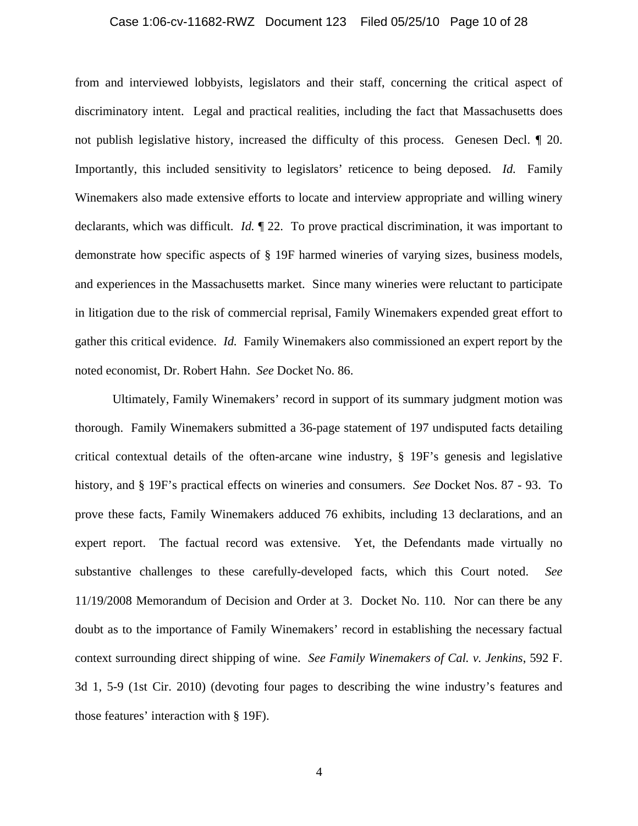#### Case 1:06-cv-11682-RWZ Document 123 Filed 05/25/10 Page 10 of 28

from and interviewed lobbyists, legislators and their staff, concerning the critical aspect of discriminatory intent. Legal and practical realities, including the fact that Massachusetts does not publish legislative history, increased the difficulty of this process. Genesen Decl. ¶ 20. Importantly, this included sensitivity to legislators' reticence to being deposed. *Id.* Family Winemakers also made extensive efforts to locate and interview appropriate and willing winery declarants, which was difficult. *Id.* ¶ 22. To prove practical discrimination, it was important to demonstrate how specific aspects of § 19F harmed wineries of varying sizes, business models, and experiences in the Massachusetts market. Since many wineries were reluctant to participate in litigation due to the risk of commercial reprisal, Family Winemakers expended great effort to gather this critical evidence. *Id.* Family Winemakers also commissioned an expert report by the noted economist, Dr. Robert Hahn. *See* Docket No. 86.

Ultimately, Family Winemakers' record in support of its summary judgment motion was thorough. Family Winemakers submitted a 36-page statement of 197 undisputed facts detailing critical contextual details of the often-arcane wine industry, § 19F's genesis and legislative history, and § 19F's practical effects on wineries and consumers. *See* Docket Nos. 87 - 93. To prove these facts, Family Winemakers adduced 76 exhibits, including 13 declarations, and an expert report. The factual record was extensive. Yet, the Defendants made virtually no substantive challenges to these carefully-developed facts, which this Court noted. *See* 11/19/2008 Memorandum of Decision and Order at 3. Docket No. 110. Nor can there be any doubt as to the importance of Family Winemakers' record in establishing the necessary factual context surrounding direct shipping of wine. *See Family Winemakers of Cal. v. Jenkins*, 592 F. 3d 1, 5-9 (1st Cir. 2010) (devoting four pages to describing the wine industry's features and those features' interaction with § 19F).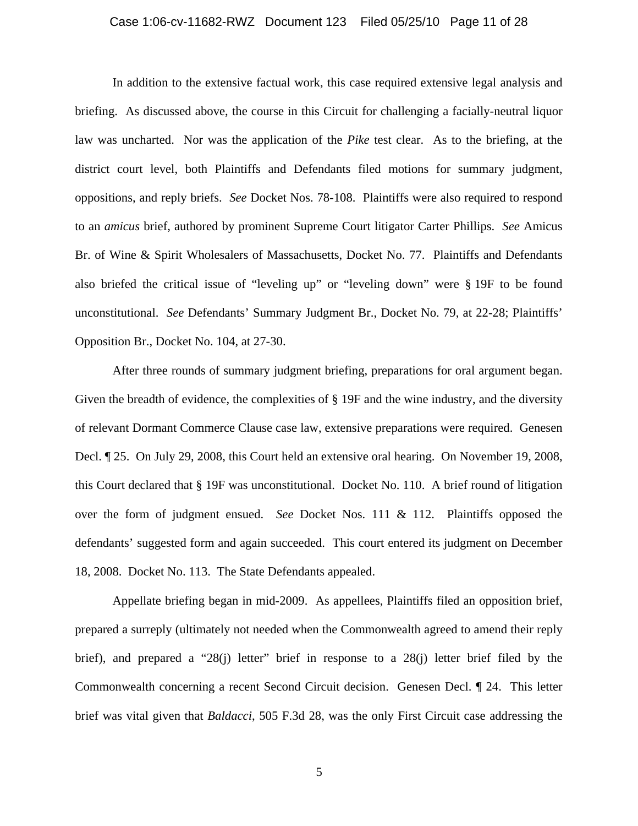#### Case 1:06-cv-11682-RWZ Document 123 Filed 05/25/10 Page 11 of 28

In addition to the extensive factual work, this case required extensive legal analysis and briefing. As discussed above, the course in this Circuit for challenging a facially-neutral liquor law was uncharted. Nor was the application of the *Pike* test clear. As to the briefing, at the district court level, both Plaintiffs and Defendants filed motions for summary judgment, oppositions, and reply briefs. *See* Docket Nos. 78-108. Plaintiffs were also required to respond to an *amicus* brief, authored by prominent Supreme Court litigator Carter Phillips. *See* Amicus Br. of Wine & Spirit Wholesalers of Massachusetts, Docket No. 77. Plaintiffs and Defendants also briefed the critical issue of "leveling up" or "leveling down" were § 19F to be found unconstitutional. *See* Defendants' Summary Judgment Br., Docket No. 79, at 22-28; Plaintiffs' Opposition Br., Docket No. 104, at 27-30.

After three rounds of summary judgment briefing, preparations for oral argument began. Given the breadth of evidence, the complexities of § 19F and the wine industry, and the diversity of relevant Dormant Commerce Clause case law, extensive preparations were required. Genesen Decl. ¶ 25. On July 29, 2008, this Court held an extensive oral hearing. On November 19, 2008, this Court declared that § 19F was unconstitutional. Docket No. 110. A brief round of litigation over the form of judgment ensued. *See* Docket Nos. 111 & 112. Plaintiffs opposed the defendants' suggested form and again succeeded. This court entered its judgment on December 18, 2008. Docket No. 113. The State Defendants appealed.

Appellate briefing began in mid-2009. As appellees, Plaintiffs filed an opposition brief, prepared a surreply (ultimately not needed when the Commonwealth agreed to amend their reply brief), and prepared a "28(j) letter" brief in response to a 28(j) letter brief filed by the Commonwealth concerning a recent Second Circuit decision. Genesen Decl. ¶ 24. This letter brief was vital given that *Baldacci*, 505 F.3d 28, was the only First Circuit case addressing the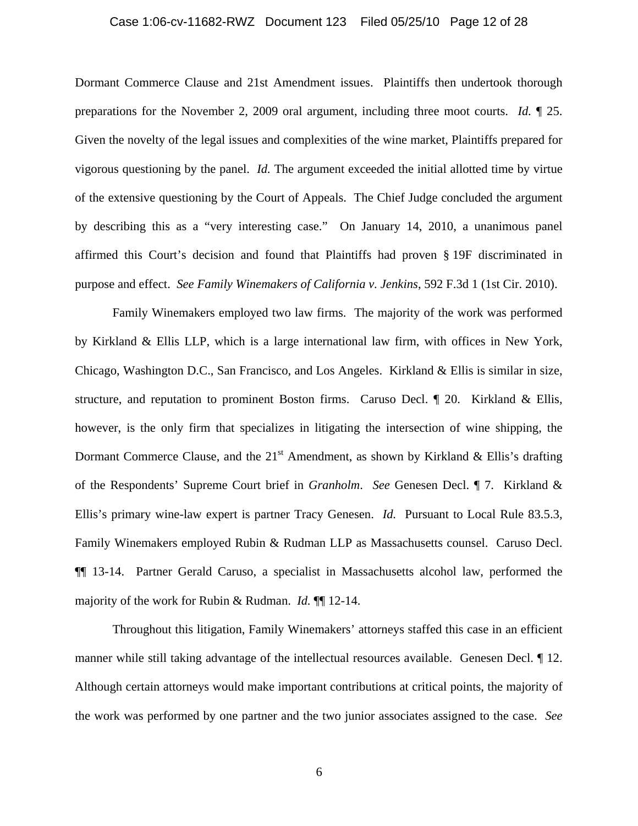#### Case 1:06-cv-11682-RWZ Document 123 Filed 05/25/10 Page 12 of 28

Dormant Commerce Clause and 21st Amendment issues. Plaintiffs then undertook thorough preparations for the November 2, 2009 oral argument, including three moot courts. *Id.* ¶ 25. Given the novelty of the legal issues and complexities of the wine market, Plaintiffs prepared for vigorous questioning by the panel. *Id.* The argument exceeded the initial allotted time by virtue of the extensive questioning by the Court of Appeals. The Chief Judge concluded the argument by describing this as a "very interesting case." On January 14, 2010, a unanimous panel affirmed this Court's decision and found that Plaintiffs had proven § 19F discriminated in purpose and effect. *See Family Winemakers of California v. Jenkins*, 592 F.3d 1 (1st Cir. 2010).

Family Winemakers employed two law firms. The majority of the work was performed by Kirkland & Ellis LLP, which is a large international law firm, with offices in New York, Chicago, Washington D.C., San Francisco, and Los Angeles. Kirkland & Ellis is similar in size, structure, and reputation to prominent Boston firms. Caruso Decl. ¶ 20. Kirkland & Ellis, however, is the only firm that specializes in litigating the intersection of wine shipping, the Dormant Commerce Clause, and the  $21<sup>st</sup>$  Amendment, as shown by Kirkland & Ellis's drafting of the Respondents' Supreme Court brief in *Granholm*. *See* Genesen Decl. ¶ 7. Kirkland & Ellis's primary wine-law expert is partner Tracy Genesen. *Id.* Pursuant to Local Rule 83.5.3, Family Winemakers employed Rubin & Rudman LLP as Massachusetts counsel. Caruso Decl. ¶¶ 13-14. Partner Gerald Caruso, a specialist in Massachusetts alcohol law, performed the majority of the work for Rubin & Rudman. *Id.* ¶¶ 12-14.

Throughout this litigation, Family Winemakers' attorneys staffed this case in an efficient manner while still taking advantage of the intellectual resources available. Genesen Decl. ¶ 12. Although certain attorneys would make important contributions at critical points, the majority of the work was performed by one partner and the two junior associates assigned to the case. *See*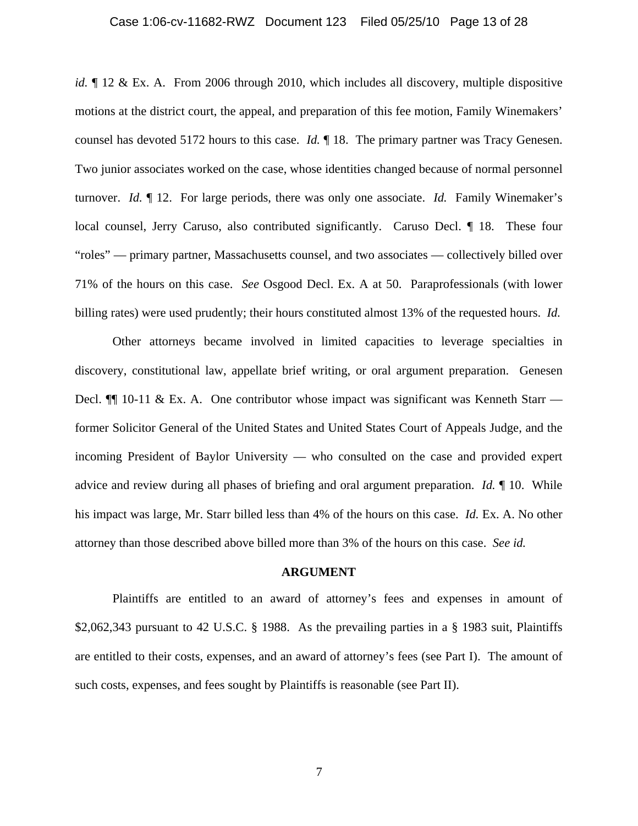#### Case 1:06-cv-11682-RWZ Document 123 Filed 05/25/10 Page 13 of 28

*id.*  $\parallel$  12 & Ex. A. From 2006 through 2010, which includes all discovery, multiple dispositive motions at the district court, the appeal, and preparation of this fee motion, Family Winemakers' counsel has devoted 5172 hours to this case. *Id.* ¶ 18. The primary partner was Tracy Genesen. Two junior associates worked on the case, whose identities changed because of normal personnel turnover. *Id.* ¶ 12. For large periods, there was only one associate. *Id.* Family Winemaker's local counsel, Jerry Caruso, also contributed significantly. Caruso Decl. ¶ 18. These four "roles" — primary partner, Massachusetts counsel, and two associates — collectively billed over 71% of the hours on this case. *See* Osgood Decl. Ex. A at 50. Paraprofessionals (with lower billing rates) were used prudently; their hours constituted almost 13% of the requested hours. *Id.*

Other attorneys became involved in limited capacities to leverage specialties in discovery, constitutional law, appellate brief writing, or oral argument preparation. Genesen Decl.  $\P$  10-11 & Ex. A. One contributor whose impact was significant was Kenneth Starr former Solicitor General of the United States and United States Court of Appeals Judge, and the incoming President of Baylor University — who consulted on the case and provided expert advice and review during all phases of briefing and oral argument preparation. *Id.* ¶ 10. While his impact was large, Mr. Starr billed less than 4% of the hours on this case. *Id.* Ex. A. No other attorney than those described above billed more than 3% of the hours on this case. *See id.* 

#### **ARGUMENT**

Plaintiffs are entitled to an award of attorney's fees and expenses in amount of \$2,062,343 pursuant to 42 U.S.C. § 1988. As the prevailing parties in a § 1983 suit, Plaintiffs are entitled to their costs, expenses, and an award of attorney's fees (see Part I). The amount of such costs, expenses, and fees sought by Plaintiffs is reasonable (see Part II).

7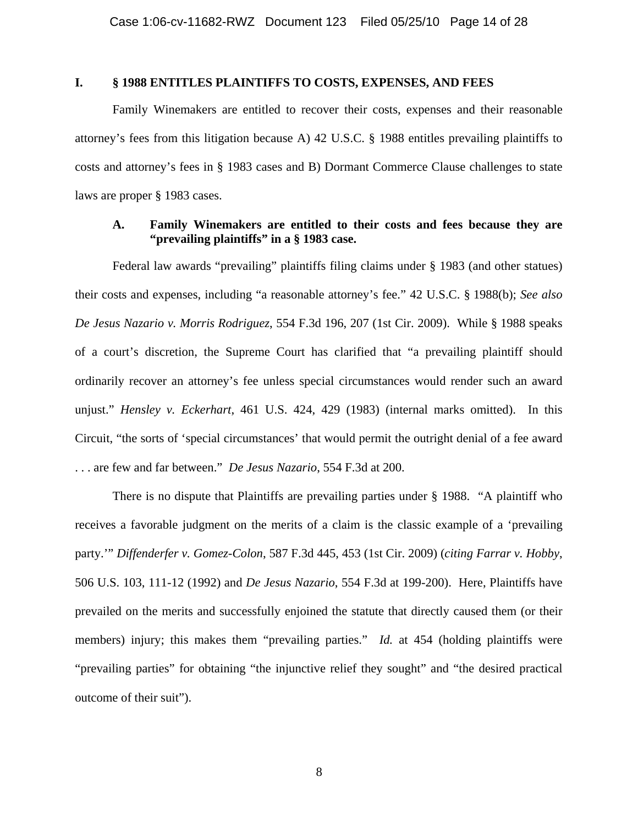### **I. § 1988 ENTITLES PLAINTIFFS TO COSTS, EXPENSES, AND FEES**

Family Winemakers are entitled to recover their costs, expenses and their reasonable attorney's fees from this litigation because A) 42 U.S.C. § 1988 entitles prevailing plaintiffs to costs and attorney's fees in § 1983 cases and B) Dormant Commerce Clause challenges to state laws are proper § 1983 cases.

### **A. Family Winemakers are entitled to their costs and fees because they are "prevailing plaintiffs" in a § 1983 case.**

Federal law awards "prevailing" plaintiffs filing claims under § 1983 (and other statues) their costs and expenses, including "a reasonable attorney's fee." 42 U.S.C. § 1988(b); *See also De Jesus Nazario v. Morris Rodriguez*, 554 F.3d 196, 207 (1st Cir. 2009). While § 1988 speaks of a court's discretion, the Supreme Court has clarified that "a prevailing plaintiff should ordinarily recover an attorney's fee unless special circumstances would render such an award unjust." *Hensley v. Eckerhart*, 461 U.S. 424, 429 (1983) (internal marks omitted). In this Circuit, "the sorts of 'special circumstances' that would permit the outright denial of a fee award . . . are few and far between." *De Jesus Nazario*, 554 F.3d at 200.

There is no dispute that Plaintiffs are prevailing parties under § 1988. "A plaintiff who receives a favorable judgment on the merits of a claim is the classic example of a 'prevailing party.'" *Diffenderfer v. Gomez-Colon*, 587 F.3d 445, 453 (1st Cir. 2009) (*citing Farrar v. Hobby*, 506 U.S. 103, 111-12 (1992) and *De Jesus Nazario*, 554 F.3d at 199-200). Here, Plaintiffs have prevailed on the merits and successfully enjoined the statute that directly caused them (or their members) injury; this makes them "prevailing parties." *Id.* at 454 (holding plaintiffs were "prevailing parties" for obtaining "the injunctive relief they sought" and "the desired practical outcome of their suit").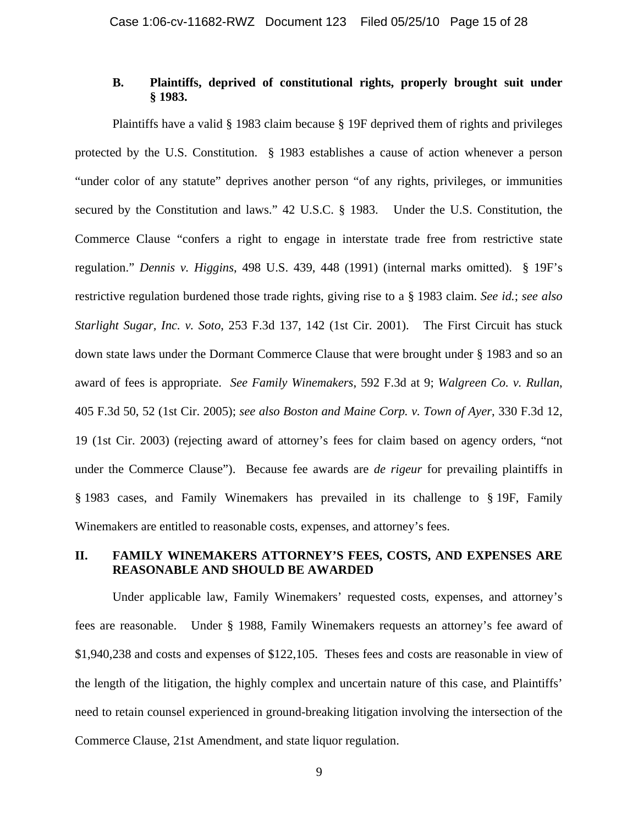### **B. Plaintiffs, deprived of constitutional rights, properly brought suit under § 1983.**

Plaintiffs have a valid § 1983 claim because § 19F deprived them of rights and privileges protected by the U.S. Constitution. § 1983 establishes a cause of action whenever a person "under color of any statute" deprives another person "of any rights, privileges, or immunities secured by the Constitution and laws." 42 U.S.C. § 1983. Under the U.S. Constitution, the Commerce Clause "confers a right to engage in interstate trade free from restrictive state regulation." *Dennis v. Higgins*, 498 U.S. 439, 448 (1991) (internal marks omitted). § 19F's restrictive regulation burdened those trade rights, giving rise to a § 1983 claim. *See id.*; *see also Starlight Sugar, Inc. v. Soto*, 253 F.3d 137, 142 (1st Cir. 2001). The First Circuit has stuck down state laws under the Dormant Commerce Clause that were brought under § 1983 and so an award of fees is appropriate. *See Family Winemakers*, 592 F.3d at 9; *Walgreen Co. v. Rullan*, 405 F.3d 50, 52 (1st Cir. 2005); *see also Boston and Maine Corp. v. Town of Ayer*, 330 F.3d 12, 19 (1st Cir. 2003) (rejecting award of attorney's fees for claim based on agency orders, "not under the Commerce Clause"). Because fee awards are *de rigeur* for prevailing plaintiffs in § 1983 cases, and Family Winemakers has prevailed in its challenge to § 19F, Family Winemakers are entitled to reasonable costs, expenses, and attorney's fees.

### **II. FAMILY WINEMAKERS ATTORNEY'S FEES, COSTS, AND EXPENSES ARE REASONABLE AND SHOULD BE AWARDED**

Under applicable law, Family Winemakers' requested costs, expenses, and attorney's fees are reasonable. Under § 1988, Family Winemakers requests an attorney's fee award of \$1,940,238 and costs and expenses of \$122,105. Theses fees and costs are reasonable in view of the length of the litigation, the highly complex and uncertain nature of this case, and Plaintiffs' need to retain counsel experienced in ground-breaking litigation involving the intersection of the Commerce Clause, 21st Amendment, and state liquor regulation.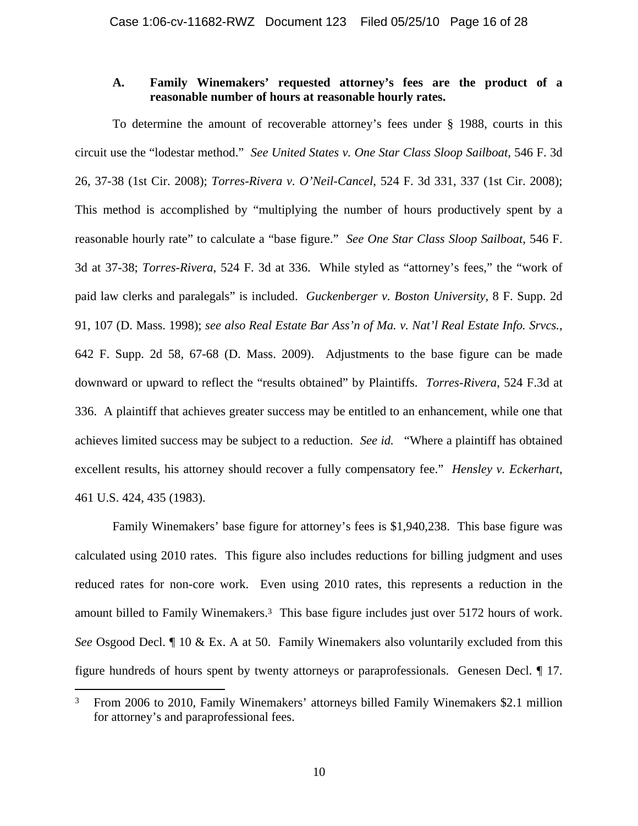### **A. Family Winemakers' requested attorney's fees are the product of a reasonable number of hours at reasonable hourly rates.**

To determine the amount of recoverable attorney's fees under § 1988, courts in this circuit use the "lodestar method." *See United States v. One Star Class Sloop Sailboat*, 546 F. 3d 26, 37-38 (1st Cir. 2008); *Torres-Rivera v. O'Neil-Cancel*, 524 F. 3d 331, 337 (1st Cir. 2008); This method is accomplished by "multiplying the number of hours productively spent by a reasonable hourly rate" to calculate a "base figure." *See One Star Class Sloop Sailboat*, 546 F. 3d at 37-38; *Torres-Rivera*, 524 F. 3d at 336. While styled as "attorney's fees," the "work of paid law clerks and paralegals" is included. *Guckenberger v. Boston University*, 8 F. Supp. 2d 91, 107 (D. Mass. 1998); *see also Real Estate Bar Ass'n of Ma. v. Nat'l Real Estate Info. Srvcs.*, 642 F. Supp. 2d 58, 67-68 (D. Mass. 2009). Adjustments to the base figure can be made downward or upward to reflect the "results obtained" by Plaintiffs. *Torres-Rivera*, 524 F.3d at 336. A plaintiff that achieves greater success may be entitled to an enhancement, while one that achieves limited success may be subject to a reduction. *See id.* "Where a plaintiff has obtained excellent results, his attorney should recover a fully compensatory fee." *Hensley v. Eckerhart*, 461 U.S. 424, 435 (1983).

Family Winemakers' base figure for attorney's fees is \$1,940,238. This base figure was calculated using 2010 rates. This figure also includes reductions for billing judgment and uses reduced rates for non-core work. Even using 2010 rates, this represents a reduction in the amount billed to Family Winemakers.3 This base figure includes just over 5172 hours of work. *See* Osgood Decl. *[10 & Ex. A at 50. Family Winemakers also voluntarily excluded from this* figure hundreds of hours spent by twenty attorneys or paraprofessionals. Genesen Decl. ¶ 17.

 $\overline{a}$ 

<sup>3</sup> From 2006 to 2010, Family Winemakers' attorneys billed Family Winemakers \$2.1 million for attorney's and paraprofessional fees.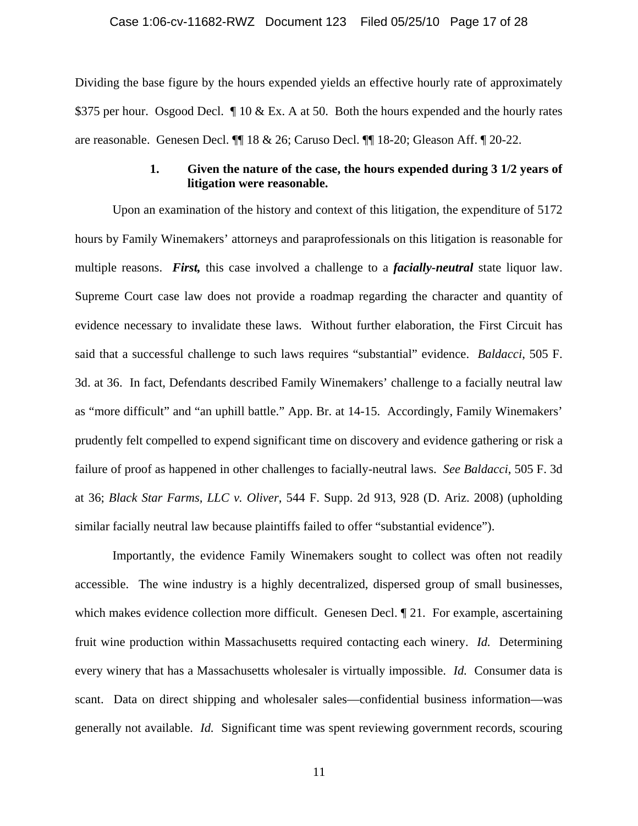Dividing the base figure by the hours expended yields an effective hourly rate of approximately \$375 per hour. Osgood Decl.  $\P$  10 & Ex. A at 50. Both the hours expended and the hourly rates are reasonable. Genesen Decl. ¶¶ 18 & 26; Caruso Decl. ¶¶ 18-20; Gleason Aff. ¶ 20-22.

### **1. Given the nature of the case, the hours expended during 3 1/2 years of litigation were reasonable.**

Upon an examination of the history and context of this litigation, the expenditure of 5172 hours by Family Winemakers' attorneys and paraprofessionals on this litigation is reasonable for multiple reasons. *First,* this case involved a challenge to a *facially-neutral* state liquor law. Supreme Court case law does not provide a roadmap regarding the character and quantity of evidence necessary to invalidate these laws. Without further elaboration, the First Circuit has said that a successful challenge to such laws requires "substantial" evidence. *Baldacci*, 505 F. 3d. at 36. In fact, Defendants described Family Winemakers' challenge to a facially neutral law as "more difficult" and "an uphill battle." App. Br. at 14-15. Accordingly, Family Winemakers' prudently felt compelled to expend significant time on discovery and evidence gathering or risk a failure of proof as happened in other challenges to facially-neutral laws. *See Baldacci*, 505 F. 3d at 36; *Black Star Farms, LLC v. Oliver*, 544 F. Supp. 2d 913, 928 (D. Ariz. 2008) (upholding similar facially neutral law because plaintiffs failed to offer "substantial evidence").

Importantly, the evidence Family Winemakers sought to collect was often not readily accessible. The wine industry is a highly decentralized, dispersed group of small businesses, which makes evidence collection more difficult. Genesen Decl.  $\parallel$  21. For example, ascertaining fruit wine production within Massachusetts required contacting each winery. *Id.* Determining every winery that has a Massachusetts wholesaler is virtually impossible. *Id.* Consumer data is scant. Data on direct shipping and wholesaler sales—confidential business information—was generally not available. *Id.* Significant time was spent reviewing government records, scouring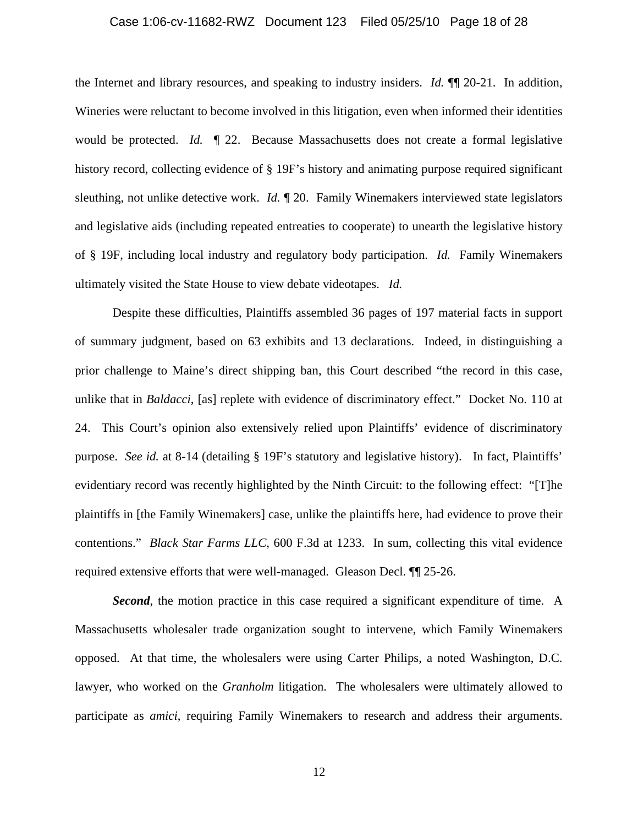#### Case 1:06-cv-11682-RWZ Document 123 Filed 05/25/10 Page 18 of 28

the Internet and library resources, and speaking to industry insiders. *Id.* ¶¶ 20-21. In addition, Wineries were reluctant to become involved in this litigation, even when informed their identities would be protected. *Id.* ¶ 22. Because Massachusetts does not create a formal legislative history record, collecting evidence of § 19F's history and animating purpose required significant sleuthing, not unlike detective work. *Id.* ¶ 20. Family Winemakers interviewed state legislators and legislative aids (including repeated entreaties to cooperate) to unearth the legislative history of § 19F, including local industry and regulatory body participation. *Id.* Family Winemakers ultimately visited the State House to view debate videotapes. *Id.* 

Despite these difficulties, Plaintiffs assembled 36 pages of 197 material facts in support of summary judgment, based on 63 exhibits and 13 declarations. Indeed, in distinguishing a prior challenge to Maine's direct shipping ban, this Court described "the record in this case, unlike that in *Baldacci*, [as] replete with evidence of discriminatory effect." Docket No. 110 at 24. This Court's opinion also extensively relied upon Plaintiffs' evidence of discriminatory purpose. *See id.* at 8-14 (detailing § 19F's statutory and legislative history). In fact, Plaintiffs' evidentiary record was recently highlighted by the Ninth Circuit: to the following effect: "[T]he plaintiffs in [the Family Winemakers] case, unlike the plaintiffs here, had evidence to prove their contentions." *Black Star Farms LLC,* 600 F.3d at 1233. In sum, collecting this vital evidence required extensive efforts that were well-managed. Gleason Decl. ¶¶ 25-26.

**Second**, the motion practice in this case required a significant expenditure of time. A Massachusetts wholesaler trade organization sought to intervene, which Family Winemakers opposed. At that time, the wholesalers were using Carter Philips, a noted Washington, D.C. lawyer, who worked on the *Granholm* litigation. The wholesalers were ultimately allowed to participate as *amici*, requiring Family Winemakers to research and address their arguments.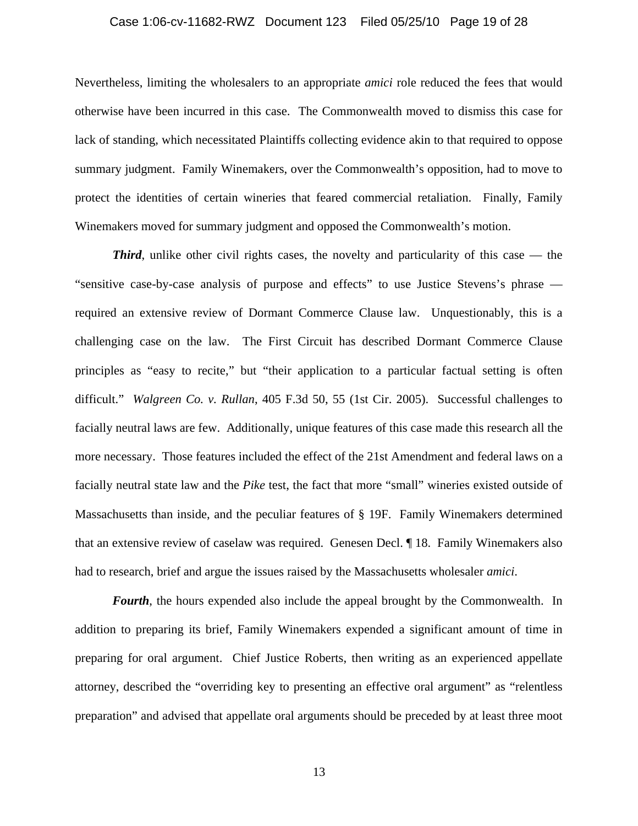#### Case 1:06-cv-11682-RWZ Document 123 Filed 05/25/10 Page 19 of 28

Nevertheless, limiting the wholesalers to an appropriate *amici* role reduced the fees that would otherwise have been incurred in this case. The Commonwealth moved to dismiss this case for lack of standing, which necessitated Plaintiffs collecting evidence akin to that required to oppose summary judgment. Family Winemakers, over the Commonwealth's opposition, had to move to protect the identities of certain wineries that feared commercial retaliation. Finally, Family Winemakers moved for summary judgment and opposed the Commonwealth's motion.

*Third*, unlike other civil rights cases, the novelty and particularity of this case — the "sensitive case-by-case analysis of purpose and effects" to use Justice Stevens's phrase required an extensive review of Dormant Commerce Clause law. Unquestionably, this is a challenging case on the law. The First Circuit has described Dormant Commerce Clause principles as "easy to recite," but "their application to a particular factual setting is often difficult." *Walgreen Co. v. Rullan*, 405 F.3d 50, 55 (1st Cir. 2005). Successful challenges to facially neutral laws are few. Additionally, unique features of this case made this research all the more necessary. Those features included the effect of the 21st Amendment and federal laws on a facially neutral state law and the *Pike* test, the fact that more "small" wineries existed outside of Massachusetts than inside, and the peculiar features of § 19F. Family Winemakers determined that an extensive review of caselaw was required. Genesen Decl. ¶ 18. Family Winemakers also had to research, brief and argue the issues raised by the Massachusetts wholesaler *amici*.

*Fourth*, the hours expended also include the appeal brought by the Commonwealth. In addition to preparing its brief, Family Winemakers expended a significant amount of time in preparing for oral argument. Chief Justice Roberts, then writing as an experienced appellate attorney, described the "overriding key to presenting an effective oral argument" as "relentless preparation" and advised that appellate oral arguments should be preceded by at least three moot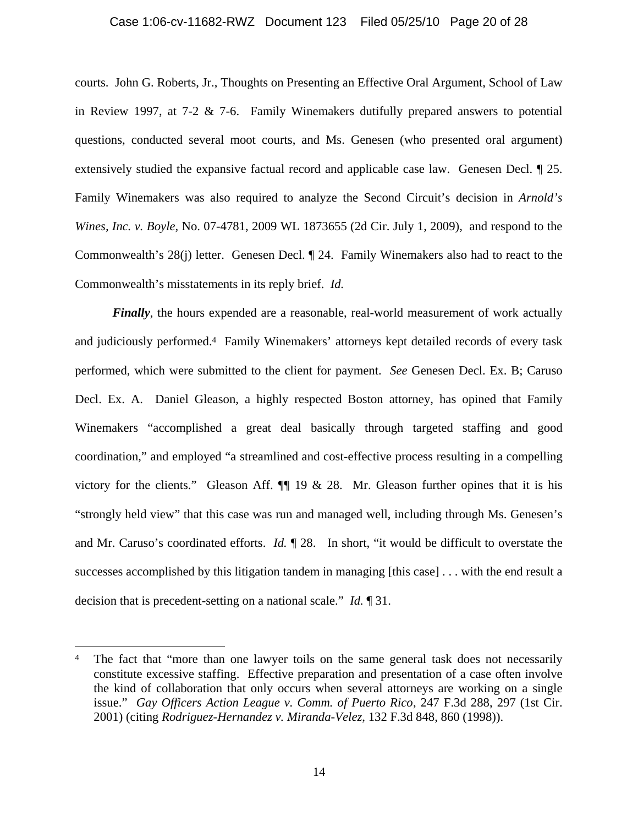### Case 1:06-cv-11682-RWZ Document 123 Filed 05/25/10 Page 20 of 28

courts. John G. Roberts, Jr., Thoughts on Presenting an Effective Oral Argument, School of Law in Review 1997, at 7-2  $\&$  7-6. Family Winemakers dutifully prepared answers to potential questions, conducted several moot courts, and Ms. Genesen (who presented oral argument) extensively studied the expansive factual record and applicable case law. Genesen Decl. ¶ 25. Family Winemakers was also required to analyze the Second Circuit's decision in *Arnold's Wines, Inc. v. Boyle*, No. 07-4781, 2009 WL 1873655 (2d Cir. July 1, 2009), and respond to the Commonwealth's 28(j) letter. Genesen Decl. ¶ 24. Family Winemakers also had to react to the Commonwealth's misstatements in its reply brief. *Id.* 

*Finally*, the hours expended are a reasonable, real-world measurement of work actually and judiciously performed.4 Family Winemakers' attorneys kept detailed records of every task performed, which were submitted to the client for payment. *See* Genesen Decl. Ex. B; Caruso Decl. Ex. A. Daniel Gleason, a highly respected Boston attorney, has opined that Family Winemakers "accomplished a great deal basically through targeted staffing and good coordination," and employed "a streamlined and cost-effective process resulting in a compelling victory for the clients." Gleason Aff.  $\P$  19 & 28. Mr. Gleason further opines that it is his "strongly held view" that this case was run and managed well, including through Ms. Genesen's and Mr. Caruso's coordinated efforts. *Id.* ¶ 28. In short, "it would be difficult to overstate the successes accomplished by this litigation tandem in managing [this case] . . . with the end result a decision that is precedent-setting on a national scale." *Id.* ¶ 31.

 $\overline{a}$ 

The fact that "more than one lawyer toils on the same general task does not necessarily constitute excessive staffing. Effective preparation and presentation of a case often involve the kind of collaboration that only occurs when several attorneys are working on a single issue." *Gay Officers Action League v. Comm. of Puerto Rico*, 247 F.3d 288, 297 (1st Cir. 2001) (citing *Rodriguez-Hernandez v. Miranda-Velez*, 132 F.3d 848, 860 (1998)).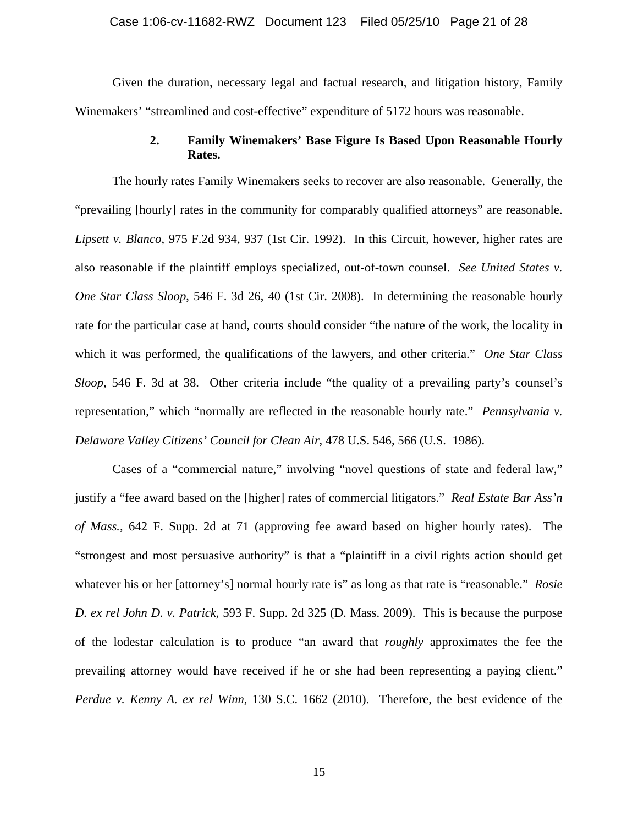Given the duration, necessary legal and factual research, and litigation history, Family Winemakers' "streamlined and cost-effective" expenditure of 5172 hours was reasonable.

### **2. Family Winemakers' Base Figure Is Based Upon Reasonable Hourly Rates.**

The hourly rates Family Winemakers seeks to recover are also reasonable. Generally, the "prevailing [hourly] rates in the community for comparably qualified attorneys" are reasonable. *Lipsett v. Blanco*, 975 F.2d 934, 937 (1st Cir. 1992). In this Circuit, however, higher rates are also reasonable if the plaintiff employs specialized, out-of-town counsel. *See United States v. One Star Class Sloop*, 546 F. 3d 26, 40 (1st Cir. 2008). In determining the reasonable hourly rate for the particular case at hand, courts should consider "the nature of the work, the locality in which it was performed, the qualifications of the lawyers, and other criteria." *One Star Class Sloop*, 546 F. 3d at 38. Other criteria include "the quality of a prevailing party's counsel's representation," which "normally are reflected in the reasonable hourly rate." *Pennsylvania v. Delaware Valley Citizens' Council for Clean Air*, 478 U.S. 546, 566 (U.S. 1986).

Cases of a "commercial nature," involving "novel questions of state and federal law," justify a "fee award based on the [higher] rates of commercial litigators." *Real Estate Bar Ass'n of Mass.,* 642 F. Supp. 2d at 71 (approving fee award based on higher hourly rates). The "strongest and most persuasive authority" is that a "plaintiff in a civil rights action should get whatever his or her [attorney's] normal hourly rate is" as long as that rate is "reasonable." *Rosie D. ex rel John D. v. Patrick*, 593 F. Supp. 2d 325 (D. Mass. 2009). This is because the purpose of the lodestar calculation is to produce "an award that *roughly* approximates the fee the prevailing attorney would have received if he or she had been representing a paying client." *Perdue v. Kenny A. ex rel Winn*, 130 S.C. 1662 (2010). Therefore, the best evidence of the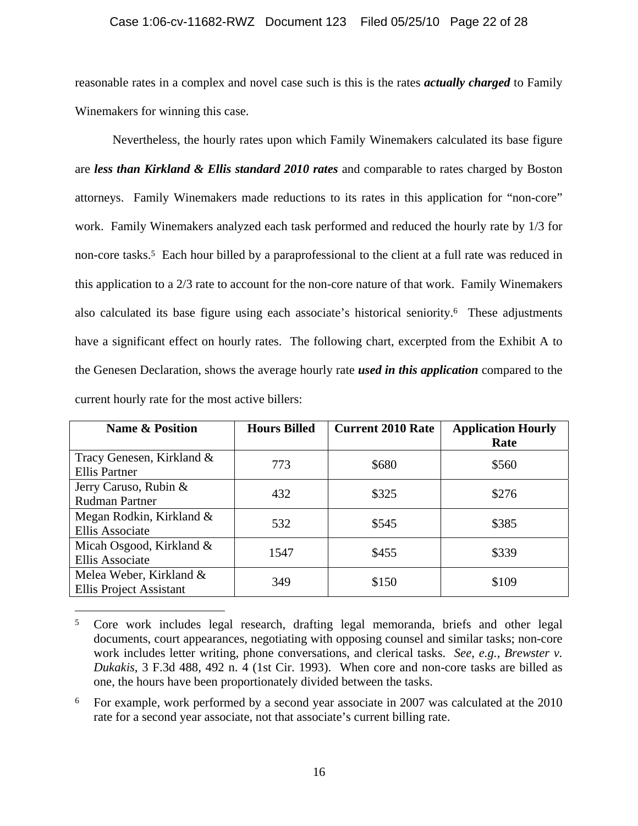### Case 1:06-cv-11682-RWZ Document 123 Filed 05/25/10 Page 22 of 28

reasonable rates in a complex and novel case such is this is the rates *actually charged* to Family Winemakers for winning this case.

Nevertheless, the hourly rates upon which Family Winemakers calculated its base figure are *less than Kirkland & Ellis standard 2010 rates* and comparable to rates charged by Boston attorneys. Family Winemakers made reductions to its rates in this application for "non-core" work. Family Winemakers analyzed each task performed and reduced the hourly rate by 1/3 for non-core tasks.<sup>5</sup> Each hour billed by a paraprofessional to the client at a full rate was reduced in this application to a 2/3 rate to account for the non-core nature of that work. Family Winemakers also calculated its base figure using each associate's historical seniority.6 These adjustments have a significant effect on hourly rates. The following chart, excerpted from the Exhibit A to the Genesen Declaration, shows the average hourly rate *used in this application* compared to the current hourly rate for the most active billers:

| <b>Name &amp; Position</b>                                | <b>Hours Billed</b> | <b>Current 2010 Rate</b> | <b>Application Hourly</b><br>Rate |
|-----------------------------------------------------------|---------------------|--------------------------|-----------------------------------|
| Tracy Genesen, Kirkland &<br><b>Ellis Partner</b>         | 773                 | \$680                    | \$560                             |
| Jerry Caruso, Rubin &<br><b>Rudman Partner</b>            | 432                 | \$325                    | \$276                             |
| Megan Rodkin, Kirkland &<br><b>Ellis Associate</b>        | 532                 | \$545                    | \$385                             |
| Micah Osgood, Kirkland &<br><b>Ellis Associate</b>        | 1547                | \$455                    | \$339                             |
| Melea Weber, Kirkland &<br><b>Ellis Project Assistant</b> | 349                 | \$150                    | \$109                             |

<sup>5</sup> Core work includes legal research, drafting legal memoranda, briefs and other legal documents, court appearances, negotiating with opposing counsel and similar tasks; non-core work includes letter writing, phone conversations, and clerical tasks. *See*, *e.g.*, *Brewster v. Dukakis*, 3 F.3d 488, 492 n. 4 (1st Cir. 1993). When core and non-core tasks are billed as one, the hours have been proportionately divided between the tasks.

 $\overline{a}$ 

<sup>6</sup> For example, work performed by a second year associate in 2007 was calculated at the 2010 rate for a second year associate, not that associate's current billing rate.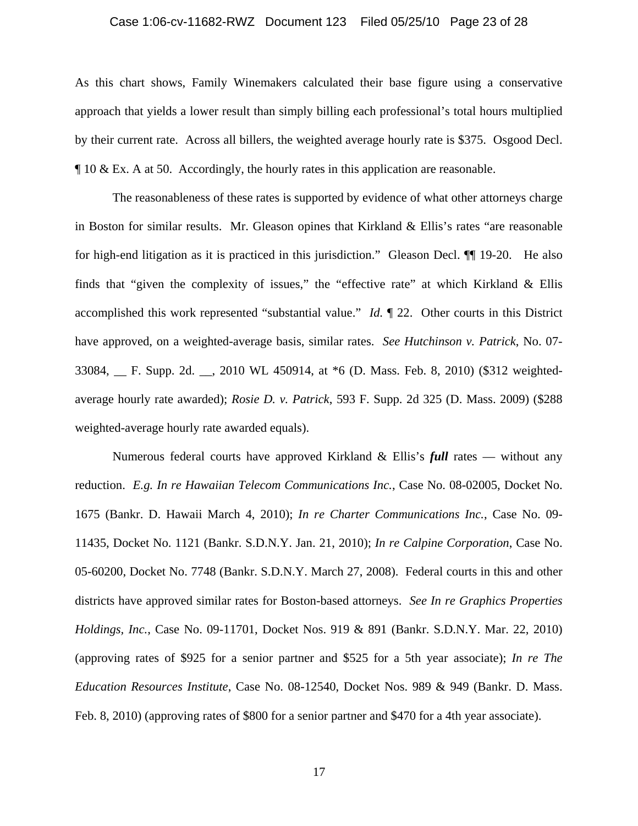#### Case 1:06-cv-11682-RWZ Document 123 Filed 05/25/10 Page 23 of 28

As this chart shows, Family Winemakers calculated their base figure using a conservative approach that yields a lower result than simply billing each professional's total hours multiplied by their current rate. Across all billers, the weighted average hourly rate is \$375. Osgood Decl. ¶ 10 & Ex. A at 50. Accordingly, the hourly rates in this application are reasonable.

The reasonableness of these rates is supported by evidence of what other attorneys charge in Boston for similar results. Mr. Gleason opines that Kirkland & Ellis's rates "are reasonable for high-end litigation as it is practiced in this jurisdiction." Gleason Decl. ¶¶ 19-20. He also finds that "given the complexity of issues," the "effective rate" at which Kirkland & Ellis accomplished this work represented "substantial value." *Id.* ¶ 22. Other courts in this District have approved, on a weighted-average basis, similar rates. *See Hutchinson v. Patrick*, No. 07- 33084, \_\_ F. Supp. 2d. \_\_, 2010 WL 450914, at \*6 (D. Mass. Feb. 8, 2010) (\$312 weightedaverage hourly rate awarded); *Rosie D. v. Patrick*, 593 F. Supp. 2d 325 (D. Mass. 2009) (\$288 weighted-average hourly rate awarded equals).

Numerous federal courts have approved Kirkland & Ellis's *full* rates — without any reduction. *E.g. In re Hawaiian Telecom Communications Inc.*, Case No. 08-02005, Docket No. 1675 (Bankr. D. Hawaii March 4, 2010); *In re Charter Communications Inc.*, Case No. 09- 11435, Docket No. 1121 (Bankr. S.D.N.Y. Jan. 21, 2010); *In re Calpine Corporation*, Case No. 05-60200, Docket No. 7748 (Bankr. S.D.N.Y. March 27, 2008). Federal courts in this and other districts have approved similar rates for Boston-based attorneys. *See In re Graphics Properties Holdings, Inc.*, Case No. 09-11701, Docket Nos. 919 & 891 (Bankr. S.D.N.Y. Mar. 22, 2010) (approving rates of \$925 for a senior partner and \$525 for a 5th year associate); *In re The Education Resources Institute*, Case No. 08-12540, Docket Nos. 989 & 949 (Bankr. D. Mass. Feb. 8, 2010) (approving rates of \$800 for a senior partner and \$470 for a 4th year associate).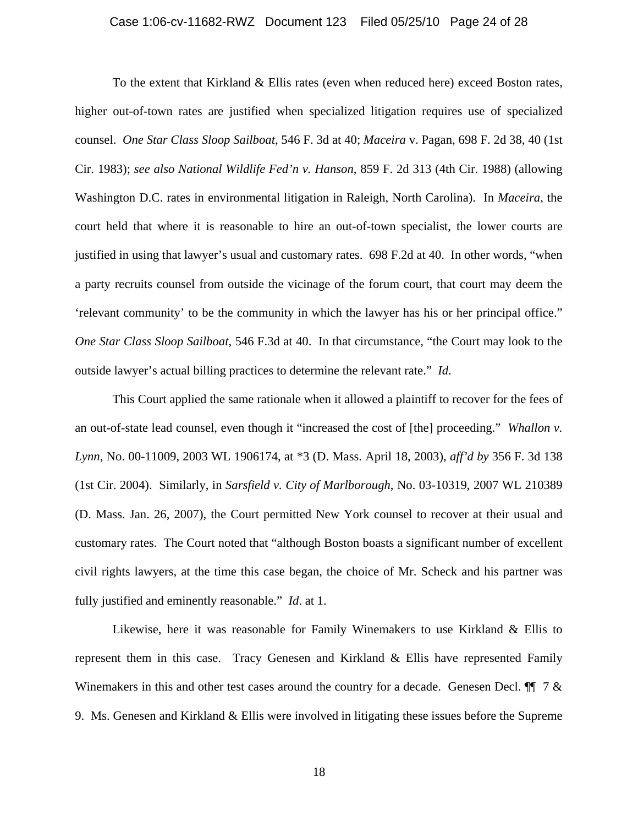#### Case 1:06-cv-11682-RWZ Document 123 Filed 05/25/10 Page 24 of 28

To the extent that Kirkland & Ellis rates (even when reduced here) exceed Boston rates, higher out-of-town rates are justified when specialized litigation requires use of specialized counsel. *One Star Class Sloop Sailboat*, 546 F. 3d at 40; *Maceira* v. Pagan, 698 F. 2d 38, 40 (1st Cir. 1983); *see also National Wildlife Fed'n v. Hanson*, 859 F. 2d 313 (4th Cir. 1988) (allowing Washington D.C. rates in environmental litigation in Raleigh, North Carolina). In *Maceira*, the court held that where it is reasonable to hire an out-of-town specialist, the lower courts are justified in using that lawyer's usual and customary rates. 698 F.2d at 40. In other words, "when a party recruits counsel from outside the vicinage of the forum court, that court may deem the 'relevant community' to be the community in which the lawyer has his or her principal office." *One Star Class Sloop Sailboat*, 546 F.3d at 40. In that circumstance, "the Court may look to the outside lawyer's actual billing practices to determine the relevant rate." *Id*.

This Court applied the same rationale when it allowed a plaintiff to recover for the fees of an out-of-state lead counsel, even though it "increased the cost of [the] proceeding." *Whallon v. Lynn*, No. 00-11009, 2003 WL 1906174, at \*3 (D. Mass. April 18, 2003), *aff'd by* 356 F. 3d 138 (1st Cir. 2004). Similarly, in *Sarsfield v. City of Marlborough*, No. 03-10319, 2007 WL 210389 (D. Mass. Jan. 26, 2007), the Court permitted New York counsel to recover at their usual and customary rates. The Court noted that "although Boston boasts a significant number of excellent civil rights lawyers, at the time this case began, the choice of Mr. Scheck and his partner was fully justified and eminently reasonable." *Id*. at 1.

Likewise, here it was reasonable for Family Winemakers to use Kirkland & Ellis to represent them in this case. Tracy Genesen and Kirkland & Ellis have represented Family Winemakers in this and other test cases around the country for a decade. Genesen Decl.  $\P$  7 & 9. Ms. Genesen and Kirkland & Ellis were involved in litigating these issues before the Supreme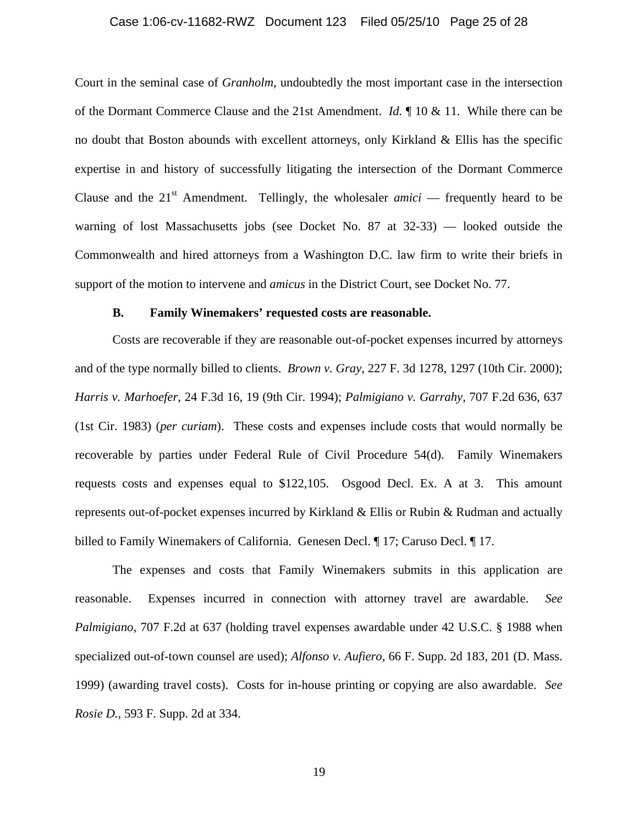#### Case 1:06-cv-11682-RWZ Document 123 Filed 05/25/10 Page 25 of 28

Court in the seminal case of *Granholm*, undoubtedly the most important case in the intersection of the Dormant Commerce Clause and the 21st Amendment. *Id.* ¶ 10 & 11. While there can be no doubt that Boston abounds with excellent attorneys, only Kirkland & Ellis has the specific expertise in and history of successfully litigating the intersection of the Dormant Commerce Clause and the  $21<sup>st</sup>$  Amendment. Tellingly, the wholesaler *amici* — frequently heard to be warning of lost Massachusetts jobs (see Docket No. 87 at 32-33) — looked outside the Commonwealth and hired attorneys from a Washington D.C. law firm to write their briefs in support of the motion to intervene and *amicus* in the District Court, see Docket No. 77.

#### **B. Family Winemakers' requested costs are reasonable.**

Costs are recoverable if they are reasonable out-of-pocket expenses incurred by attorneys and of the type normally billed to clients. *Brown v. Gray*, 227 F. 3d 1278, 1297 (10th Cir. 2000); *Harris v. Marhoefer*, 24 F.3d 16, 19 (9th Cir. 1994); *Palmigiano v. Garrahy*, 707 F.2d 636, 637 (1st Cir. 1983) (*per curiam*). These costs and expenses include costs that would normally be recoverable by parties under Federal Rule of Civil Procedure 54(d). Family Winemakers requests costs and expenses equal to \$122,105. Osgood Decl. Ex. A at 3. This amount represents out-of-pocket expenses incurred by Kirkland & Ellis or Rubin & Rudman and actually billed to Family Winemakers of California. Genesen Decl.  $\parallel$  17; Caruso Decl.  $\parallel$  17.

The expenses and costs that Family Winemakers submits in this application are reasonable. Expenses incurred in connection with attorney travel are awardable. *See Palmigiano*, 707 F.2d at 637 (holding travel expenses awardable under 42 U.S.C. § 1988 when specialized out-of-town counsel are used); *Alfonso v. Aufiero*, 66 F. Supp. 2d 183, 201 (D. Mass. 1999) (awarding travel costs). Costs for in-house printing or copying are also awardable. *See Rosie D.*, 593 F. Supp. 2d at 334.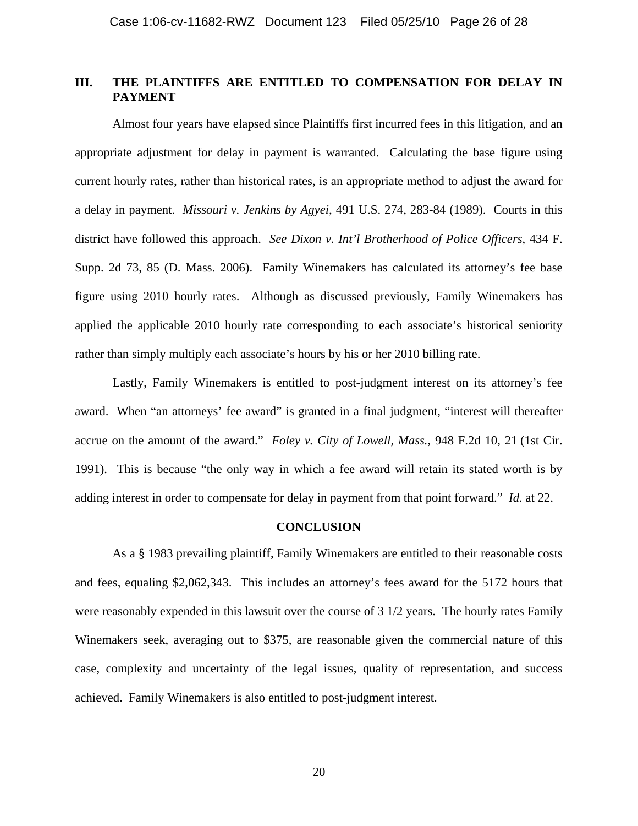### **III. THE PLAINTIFFS ARE ENTITLED TO COMPENSATION FOR DELAY IN PAYMENT**

Almost four years have elapsed since Plaintiffs first incurred fees in this litigation, and an appropriate adjustment for delay in payment is warranted. Calculating the base figure using current hourly rates, rather than historical rates, is an appropriate method to adjust the award for a delay in payment. *Missouri v. Jenkins by Agyei*, 491 U.S. 274, 283-84 (1989). Courts in this district have followed this approach. *See Dixon v. Int'l Brotherhood of Police Officers*, 434 F. Supp. 2d 73, 85 (D. Mass. 2006). Family Winemakers has calculated its attorney's fee base figure using 2010 hourly rates. Although as discussed previously, Family Winemakers has applied the applicable 2010 hourly rate corresponding to each associate's historical seniority rather than simply multiply each associate's hours by his or her 2010 billing rate.

Lastly, Family Winemakers is entitled to post-judgment interest on its attorney's fee award. When "an attorneys' fee award" is granted in a final judgment, "interest will thereafter accrue on the amount of the award." *Foley v. City of Lowell, Mass.*, 948 F.2d 10, 21 (1st Cir. 1991). This is because "the only way in which a fee award will retain its stated worth is by adding interest in order to compensate for delay in payment from that point forward." *Id.* at 22.

#### **CONCLUSION**

As a § 1983 prevailing plaintiff, Family Winemakers are entitled to their reasonable costs and fees, equaling \$2,062,343. This includes an attorney's fees award for the 5172 hours that were reasonably expended in this lawsuit over the course of 3 1/2 years. The hourly rates Family Winemakers seek, averaging out to \$375, are reasonable given the commercial nature of this case, complexity and uncertainty of the legal issues, quality of representation, and success achieved. Family Winemakers is also entitled to post-judgment interest.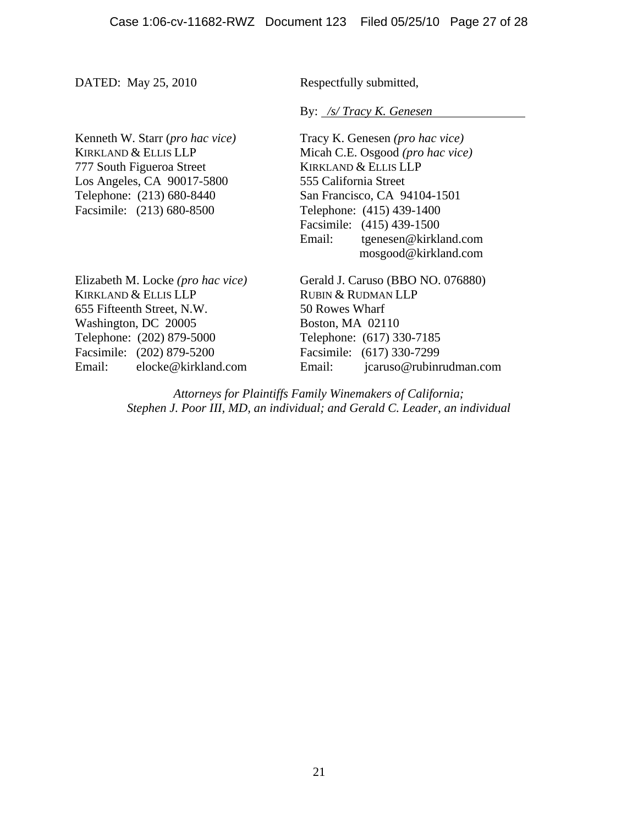DATED: May 25, 2010 Respectfully submitted,

By: */s/ Tracy K. Genesen* 

777 South Figueroa Street KIRKLAND & ELLIS LLP Los Angeles, CA 90017-5800 555 California Street Facsimile: (213) 680-8500 Telephone: (415) 439-1400

KIRKLAND & ELLIS LLP RUBIN & RUDMAN LLP 655 Fifteenth Street, N.W. 50 Rowes Wharf Washington, DC 20005 Boston, MA 02110 Telephone: (202) 879-5000 Telephone: (617) 330-7185 Facsimile: (202) 879-5200 Facsimile: (617) 330-7299

Kenneth W. Starr *(pro hac vice)* Tracy K. Genesen *(pro hac vice)* KIRKLAND & ELLIS LLP Micah C.E. Osgood *(pro hac vice)* Telephone: (213) 680-8440 San Francisco, CA 94104-1501 Facsimile: (415) 439-1500 Email: tgenesen@kirkland.com mosgood@kirkland.com

Elizabeth M. Locke (*pro hac vice*) Gerald J. Caruso (BBO NO. 076880) Email: elocke@kirkland.com Email: jcaruso@rubinrudman.com

> *Attorneys for Plaintiffs Family Winemakers of California; Stephen J. Poor III, MD, an individual; and Gerald C. Leader, an individual*